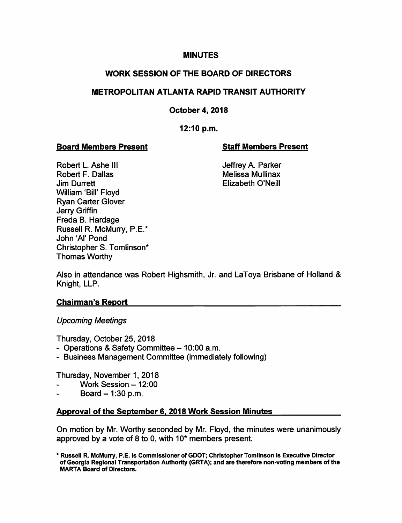# **MINUTES**

# WORK SESSION OF THE BOARD OF DIRECTORS

# METROPOLITAN ATLANTA RAPID TRANSIT AUTHORITY

# October 4, 2018

# 12:10 p.m.

# Board Members Present Staff Members Present

Robert L. Ashe III **III Sheware A. Parker** Jeffrey A. Parker Robert F. Dallas **Melissa Mullinax** Melissa Mullinax Jim Durrett Elizabeth O'Neill William 'Bill' Floyd Ryan Carter Glover Jerry Griffin Freda B. Hardage Russell R. McMurry, P.E.\* John 'Al' Pond Christopher S. Tomlinson\* Thomas Worthy

Also in attendance was Robert Highsmith, Jr. and LaToya Brisbane of Holland & Knight, LLP.

## Chairman's Report

## Upcoming Meetings

Thursday, October 25, 2018

- Operations & Safety Committee 10:00 a.m.
- Business Management Committee (immediately following)

Thursday, November 1, 2018

- Work Session  $-12:00$
- Board  $-1:30$  p.m.

## Approval of the September 6. 2018 Work Session Minutes

On motion by Mr. Worthy seconded by Mr. Floyd, the minutes were unanimously approved by a vote of 8 to 0, with 10\* members present.

<sup>\*</sup> Russell R. McMurry, P.E. Is Commissioner of GDOT; Christopher Tomiinson is Executive Director of Georgia Regionai Transportation Authority (GRTA); and are therefore non-voting members of the MARIA Board of Directors.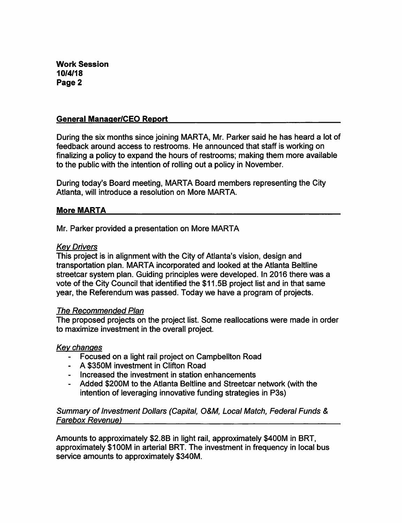#### General Manaaer/CEO Report

During the six months since joining MARTA, Mr. Parker said he has heard a lot of feedback around access to restrooms. He announced that staff is working on finalizing a policy to expand the hours of restrooms; making them more available to the public with the intention of rolling out a policy in November.

During today's Board meeting, MARTA Board members representing the City Atlanta, will introduce a resolution on More MARTA.

## More MARTA

Mr. Parker provided a presentation on More MARTA

#### Key Drivers

This project is in alignment with the City of Atlanta's vision, design and transportation plan. MARTA incorporated and looked at the Atlanta Beltline streetcar system plan. Guiding principles were developed. In 2016 there was a vote of the City Council that identified the \$11.5B project list and in that same year, the Referendum was passed. Today we have a program of projects.

#### The Recommended Plan

The proposed projects on the project list. Some reallocations were made in order to maximize investment in the overall project.

## Key changes

- Focused on a light rail project on Campbellton Road
- A \$350M investment in Clifton Road
- Increased the investment in station enhancements
- Added \$200M to the Atlanta Beltline and Streetcar network (with the intention of leveraging innovative funding strategies in P3s)

## Summary of Investment Dollars (Capital, O&M, Local Match, Federal Funds & Farebox Revenue)

Amounts to approximately \$2.8B in light rail, approximately \$400M in BRT, approximately \$100M in arterial BRT. The investment in frequency in local bus service amounts to approximately \$340M.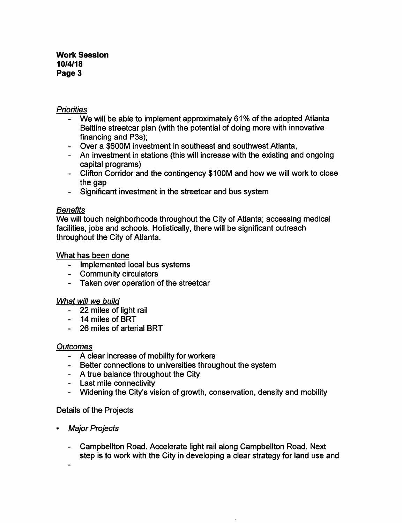## Work Session 10/4/18 Page 3

## **Priorities**

- We will be able to implement approximately 61% of the adopted Atlanta Beltline streetcar plan (with the potential of doing more with innovative financing and P3s);
- Over a \$600M investment in southeast and southwest Atlanta,
- An investment in stations (this will increase with the existing and ongoing capital programs)
- Clifton Corridor and the contingency \$100M and how we will work to close the gap
- Significant investment in the streetcar and bus system

## **Benefits**

We will touch neighborhoods throughout the City of Atlanta; accessing medical facilities, jobs and schools. Holistically, there will be significant outreach throughout the City of Atlanta.

## What has been done

- Implemented local bus systems
- Community circulators
- Taken over operation of the streetcar

## What will we build

- 22 miles of light rail
- 14 miles of BRT
- 26 miles of arterial BRT

## **Outcomes**

- A clear increase of mobility for workers
- Better connections to universities throughout the system
- A true balance throughout the City
- Last mile connectivity
- Widening the City's vision of growth, conservation, density and mobility

## Details of the Projects

- Major Projects
	- Campbellton Road. Accelerate light rail along Campbellton Road. Next step is to work with the City in developing a clear strategy for land use and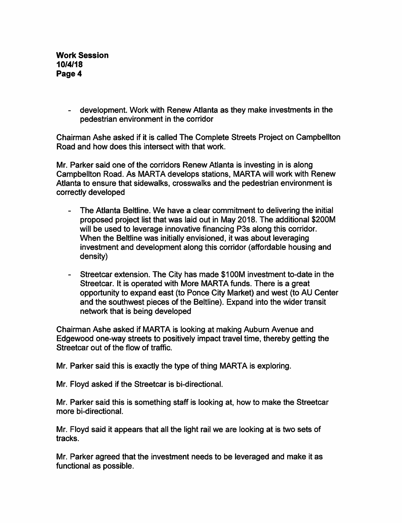Work Session 10/4/18 Page 4

> - development. Work with Renew Atlanta as they make investments in the pedestrian environment in the corridor

Chairman Ashe asked if it is called The Complete Streets Project on Campbellton Road and how does this intersect with that work.

Mr. Parker said one of the corridors Renew Atlanta is investing in is along Campbellton Road. As MARTA develops stations, MARIA will work with Renew Atlanta to ensure that sidewalks, crosswalks and the pedestrian environment is correctly developed

- The Atlanta Beltline. We have a clear commitment to delivering the initial proposed project list that was laid out in May 2018. The additional \$200M will be used to leverage innovative financing P3s along this corridor. When the Beltline was initially envisioned, it was about leveraging investment and development along this corridor (affordable housing and density)
- Streetcar extension. The City has made \$100M investment to-date in the Streetcar. It is operated with More MARTA funds. There is a great opportunity to expand east (to Ponce City Market) and west (to AU Center and the southwest pieces of the Beltline). Expand into the wider transit network that is being developed

Chairman Ashe asked if MARTA is looking at making Auburn Avenue and Edgewood one-way streets to positively impact travel time, thereby getting the Streetcar out of the flow of traffic.

Mr. Parker said this is exactly the type of thing MARTA is exploring.

Mr. Floyd asked if the Streetcar is bi-directional.

Mr. Parker said this is something staff is looking at, how to make the Streetcar more bi-directional.

Mr. Floyd said it appears that all the light rail we are looking at is two sets of tracks.

Mr. Parker agreed that the investment needs to be leveraged and make it as functional as possible.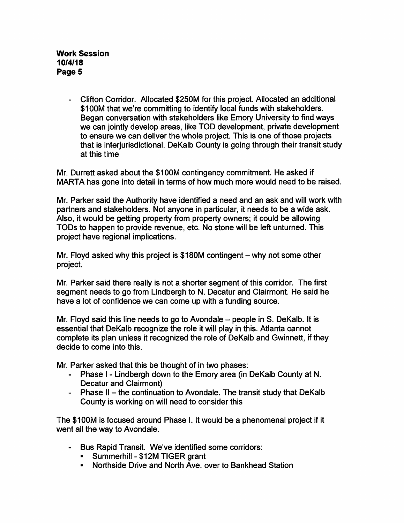- Clifton Corridor. Allocated \$250M for this project. Allocated an additional \$100M that we're committing to identify local funds with stakeholders. Began conversation with stakeholders like Emory University to find ways we can jointly develop areas, like TOD development, private development to ensure we can deliver the whole project. This is one of those projects that is interjurisdictional. DeKalb County is going through their transit study at this time

Mr. Durrett asked about the \$100M contingency commitment. He asked if MARTA has gone into detail in terms of how much more would need to be raised.

Mr. Parker said the Authority have identified a need and an ask and will work with partners and stakeholders. Not anyone in particular, it needs to be a wide ask. Also, it would be getting property from property owners; it could be allowing TODs to happen to provide revenue, etc. No stone will be left unturned. This project have regional implications.

Mr. Floyd asked why this project is  $$180M$  contingent  $-$  why not some other project.

Mr. Parker said there really is not a shorter segment of this corridor. The first segment needs to go from Lindbergh to N. Decatur and Clairmont. He said he have a lot of confidence we can come up with a funding source.

Mr. Floyd said this line needs to go to Avondale  $-$  people in S. DeKalb. It is essential that DeKalb recognize the role it will play in this. Atlanta cannot complete its plan unless it recognized the role of DeKalb and Gwinnett, if they decide to come into this.

Mr. Parker asked that this be thought of in two phases:

- Phase I Lindbergh down to the Emory area (in DeKalb County at N. Decatur and Clairmont)
- Phase II the continuation to Avondale. The transit study that DeKalb County is working on will need to consider this

The \$100M is focused around Phase I. It would be a phenomenal project if it went all the way to Avondale.

- Bus Rapid Transit. We've identified some corridors:
	- Summerhill \$12M TIGER grant
	- Northside Drive and North Ave. over to Bankhead Station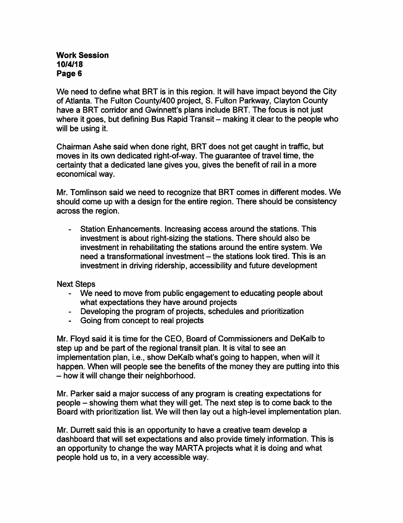## Work Session 10/4/18 Page 6

We need to define what BRT is in this region. It will have impact beyond the City of Atlanta. The Fulton County/400 project, 8. Fulton Parkway, Clayton County have a BRT corridor and Gwinnett's plans include BRT. The focus is not just where it goes, but defining Bus Rapid Transit – making it clear to the people who will be using it.

Chairman Ashe said when done right, BRT does not get caught in traffic, but moves in its own dedicated right-of-way. The guarantee of travel time, the certainty that a dedicated lane gives you, gives the benefit of rail in a more economical way.

Mr. Tomlinson said we need to recognize that BRT comes in different modes. We should come up with a design for the entire region. There should be consistency across the region.

- Station Enhancements. Increasing access around the stations. This investment is about right-sizing the stations. There should also be investment in rehabilitating the stations around the entire system. We need a transformational investment – the stations look tired. This is an investment in driving ridership, accessibility and future development

Next Steps

- We need to move from public engagement to educating people about what expectations they have around projects
- Developing the program of projects, schedules and prioritization
- Going from concept to real projects

Mr. Floyd said it is time for the CEO, Board of Commissioners and DeKalb to step up and be part of the regional transit plan. It is vital to see an implementation plan, i.e., show DeKalb what's going to happen, when will it happen. When will people see the benefits of the money they are putting into this - how it will change their neighborhood.

Mr. Parker said a major success of any program is creating expectations for people - showing them what they will get. The next step is to come back to the Board with prioritization list. We will then lay out a high-level implementation plan.

Mr. Durrett said this is an opportunity to have a creative team develop a dashboard that will set expectations and also provide timely information. This is an opportunity to change the way MARTA projects what it is doing and what people hold us to, in a very accessible way.